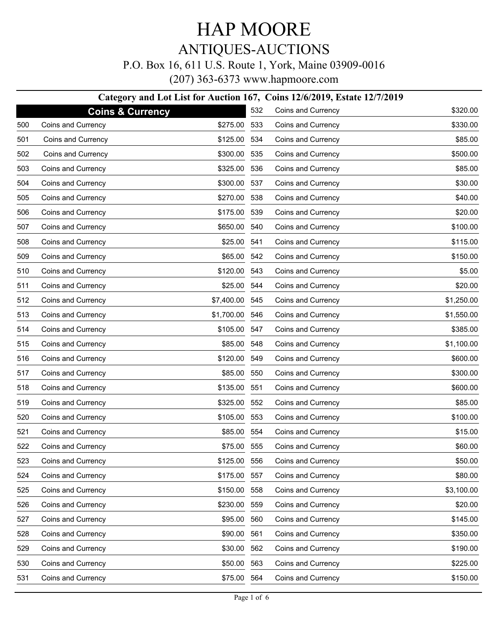# HAP MOORE

### ANTIQUES-AUCTIONS

#### P.O. Box 16, 611 U.S. Route 1, York, Maine 03909-0016

(207) 363-6373 www.hapmoore.com

#### **Category and Lot List for Auction 167, Coins 12/6/2019, Estate 12/7/2019**

|     | <b>Coins &amp; Currency</b> |                | 532 | Coins and Currency | \$320.00   |
|-----|-----------------------------|----------------|-----|--------------------|------------|
| 500 | Coins and Currency          | \$275.00       | 533 | Coins and Currency | \$330.00   |
| 501 | Coins and Currency          | \$125.00       | 534 | Coins and Currency | \$85.00    |
| 502 | Coins and Currency          | \$300.00       | 535 | Coins and Currency | \$500.00   |
| 503 | Coins and Currency          | \$325.00       | 536 | Coins and Currency | \$85.00    |
| 504 | Coins and Currency          | \$300.00       | 537 | Coins and Currency | \$30.00    |
| 505 | Coins and Currency          | \$270.00       | 538 | Coins and Currency | \$40.00    |
| 506 | Coins and Currency          | \$175.00       | 539 | Coins and Currency | \$20.00    |
| 507 | Coins and Currency          | \$650.00       | 540 | Coins and Currency | \$100.00   |
| 508 | Coins and Currency          | \$25.00        | 541 | Coins and Currency | \$115.00   |
| 509 | Coins and Currency          | \$65.00        | 542 | Coins and Currency | \$150.00   |
| 510 | Coins and Currency          | \$120.00 543   |     | Coins and Currency | \$5.00     |
| 511 | Coins and Currency          | \$25.00 544    |     | Coins and Currency | \$20.00    |
| 512 | Coins and Currency          | \$7,400.00 545 |     | Coins and Currency | \$1,250.00 |
| 513 | Coins and Currency          | \$1,700.00 546 |     | Coins and Currency | \$1,550.00 |
| 514 | Coins and Currency          | \$105.00 547   |     | Coins and Currency | \$385.00   |
| 515 | Coins and Currency          | \$85.00 548    |     | Coins and Currency | \$1,100.00 |
| 516 | Coins and Currency          | \$120.00 549   |     | Coins and Currency | \$600.00   |
| 517 | Coins and Currency          | \$85.00        | 550 | Coins and Currency | \$300.00   |
| 518 | Coins and Currency          | \$135.00       | 551 | Coins and Currency | \$600.00   |
| 519 | Coins and Currency          | \$325.00       | 552 | Coins and Currency | \$85.00    |
| 520 | Coins and Currency          | \$105.00       | 553 | Coins and Currency | \$100.00   |
| 521 | Coins and Currency          | \$85.00        | 554 | Coins and Currency | \$15.00    |
| 522 | Coins and Currency          | \$75.00        | 555 | Coins and Currency | \$60.00    |
| 523 | Coins and Currency          | \$125.00       | 556 | Coins and Currency | \$50.00    |
| 524 | Coins and Currency          | \$175.00 557   |     | Coins and Currency | \$80.00    |
| 525 | Coins and Currency          | \$150.00       | 558 | Coins and Currency | \$3,100.00 |
| 526 | Coins and Currency          | \$230.00       | 559 | Coins and Currency | \$20.00    |
| 527 | Coins and Currency          | \$95.00        | 560 | Coins and Currency | \$145.00   |
| 528 | Coins and Currency          | \$90.00        | 561 | Coins and Currency | \$350.00   |
| 529 | Coins and Currency          | \$30.00        | 562 | Coins and Currency | \$190.00   |
| 530 | Coins and Currency          | \$50.00        | 563 | Coins and Currency | \$225.00   |
| 531 | Coins and Currency          | \$75.00        | 564 | Coins and Currency | \$150.00   |
|     |                             |                |     |                    |            |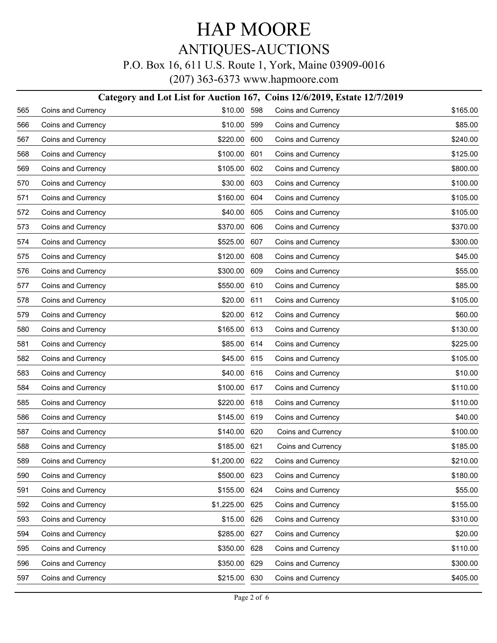### P.O. Box 16, 611 U.S. Route 1, York, Maine 03909-0016

|     |                    | Category and Lot List for Auction 167, Coins 12/6/2019, Estate 12/7/2019 |     |                    |          |
|-----|--------------------|--------------------------------------------------------------------------|-----|--------------------|----------|
| 565 | Coins and Currency | \$10.00 598                                                              |     | Coins and Currency | \$165.00 |
| 566 | Coins and Currency | \$10.00 599                                                              |     | Coins and Currency | \$85.00  |
| 567 | Coins and Currency | \$220.00 600                                                             |     | Coins and Currency | \$240.00 |
| 568 | Coins and Currency | \$100.00                                                                 | 601 | Coins and Currency | \$125.00 |
| 569 | Coins and Currency | \$105.00 602                                                             |     | Coins and Currency | \$800.00 |
| 570 | Coins and Currency | \$30.00                                                                  | 603 | Coins and Currency | \$100.00 |
| 571 | Coins and Currency | \$160.00 604                                                             |     | Coins and Currency | \$105.00 |
| 572 | Coins and Currency | \$40.00                                                                  | 605 | Coins and Currency | \$105.00 |
| 573 | Coins and Currency | \$370.00 606                                                             |     | Coins and Currency | \$370.00 |
| 574 | Coins and Currency | \$525.00                                                                 | 607 | Coins and Currency | \$300.00 |
| 575 | Coins and Currency | \$120.00 608                                                             |     | Coins and Currency | \$45.00  |
| 576 | Coins and Currency | \$300.00                                                                 | 609 | Coins and Currency | \$55.00  |
| 577 | Coins and Currency | \$550.00 610                                                             |     | Coins and Currency | \$85.00  |
| 578 | Coins and Currency | \$20.00 611                                                              |     | Coins and Currency | \$105.00 |
| 579 | Coins and Currency | \$20.00 612                                                              |     | Coins and Currency | \$60.00  |
| 580 | Coins and Currency | \$165.00 613                                                             |     | Coins and Currency | \$130.00 |
| 581 | Coins and Currency | \$85.00 614                                                              |     | Coins and Currency | \$225.00 |
| 582 | Coins and Currency | \$45.00 615                                                              |     | Coins and Currency | \$105.00 |
| 583 | Coins and Currency | \$40.00 616                                                              |     | Coins and Currency | \$10.00  |
| 584 | Coins and Currency | \$100.00 617                                                             |     | Coins and Currency | \$110.00 |
| 585 | Coins and Currency | \$220.00 618                                                             |     | Coins and Currency | \$110.00 |
| 586 | Coins and Currency | \$145.00 619                                                             |     | Coins and Currency | \$40.00  |
| 587 | Coins and Currency | \$140.00 620                                                             |     | Coins and Currency | \$100.00 |
| 588 | Coins and Currency | \$185.00 621                                                             |     | Coins and Currency | \$185.00 |
| 589 | Coins and Currency | \$1,200.00 622                                                           |     | Coins and Currency | \$210.00 |
| 590 | Coins and Currency | \$500.00 623                                                             |     | Coins and Currency | \$180.00 |
| 591 | Coins and Currency | \$155.00 624                                                             |     | Coins and Currency | \$55.00  |
| 592 | Coins and Currency | \$1,225.00 625                                                           |     | Coins and Currency | \$155.00 |
| 593 | Coins and Currency | \$15.00 626                                                              |     | Coins and Currency | \$310.00 |
| 594 | Coins and Currency | \$285.00 627                                                             |     | Coins and Currency | \$20.00  |
| 595 | Coins and Currency | \$350.00                                                                 | 628 | Coins and Currency | \$110.00 |
| 596 | Coins and Currency | \$350.00 629                                                             |     | Coins and Currency | \$300.00 |
| 597 | Coins and Currency | \$215.00 630                                                             |     | Coins and Currency | \$405.00 |
|     |                    |                                                                          |     |                    |          |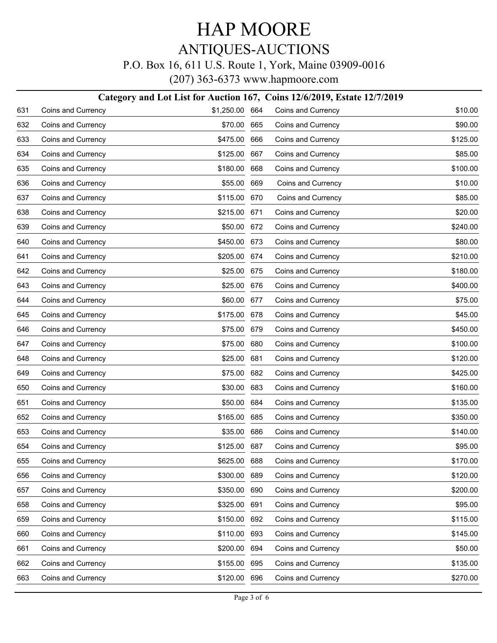### P.O. Box 16, 611 U.S. Route 1, York, Maine 03909-0016

|     | Category and Lot List for Auction 167, Coins 12/6/2019, Estate 12/7/2019 |                |     |                    |          |  |  |
|-----|--------------------------------------------------------------------------|----------------|-----|--------------------|----------|--|--|
| 631 | Coins and Currency                                                       | \$1,250.00 664 |     | Coins and Currency | \$10.00  |  |  |
| 632 | Coins and Currency                                                       | \$70.00        | 665 | Coins and Currency | \$90.00  |  |  |
| 633 | Coins and Currency                                                       | \$475.00       | 666 | Coins and Currency | \$125.00 |  |  |
| 634 | Coins and Currency                                                       | \$125.00       | 667 | Coins and Currency | \$85.00  |  |  |
| 635 | Coins and Currency                                                       | \$180.00       | 668 | Coins and Currency | \$100.00 |  |  |
| 636 | Coins and Currency                                                       | \$55.00        | 669 | Coins and Currency | \$10.00  |  |  |
| 637 | Coins and Currency                                                       | \$115.00       | 670 | Coins and Currency | \$85.00  |  |  |
| 638 | Coins and Currency                                                       | \$215.00       | 671 | Coins and Currency | \$20.00  |  |  |
| 639 | Coins and Currency                                                       | \$50.00        | 672 | Coins and Currency | \$240.00 |  |  |
| 640 | Coins and Currency                                                       | \$450.00       | 673 | Coins and Currency | \$80.00  |  |  |
| 641 | Coins and Currency                                                       | \$205.00       | 674 | Coins and Currency | \$210.00 |  |  |
| 642 | Coins and Currency                                                       | \$25.00        | 675 | Coins and Currency | \$180.00 |  |  |
| 643 | Coins and Currency                                                       | \$25.00        | 676 | Coins and Currency | \$400.00 |  |  |
| 644 | Coins and Currency                                                       | \$60.00        | 677 | Coins and Currency | \$75.00  |  |  |
| 645 | Coins and Currency                                                       | \$175.00       | 678 | Coins and Currency | \$45.00  |  |  |
| 646 | Coins and Currency                                                       | \$75.00        | 679 | Coins and Currency | \$450.00 |  |  |
| 647 | Coins and Currency                                                       | \$75.00        | 680 | Coins and Currency | \$100.00 |  |  |
| 648 | Coins and Currency                                                       | \$25.00        | 681 | Coins and Currency | \$120.00 |  |  |
| 649 | Coins and Currency                                                       | \$75.00        | 682 | Coins and Currency | \$425.00 |  |  |
| 650 | Coins and Currency                                                       | \$30.00        | 683 | Coins and Currency | \$160.00 |  |  |
| 651 | Coins and Currency                                                       | \$50.00        | 684 | Coins and Currency | \$135.00 |  |  |
| 652 | Coins and Currency                                                       | \$165.00       | 685 | Coins and Currency | \$350.00 |  |  |
| 653 | Coins and Currency                                                       | \$35.00        | 686 | Coins and Currency | \$140.00 |  |  |
| 654 | Coins and Currency                                                       | \$125.00       | 687 | Coins and Currency | \$95.00  |  |  |
| 655 | Coins and Currency                                                       | \$625.00 688   |     | Coins and Currency | \$170.00 |  |  |
| 656 | Coins and Currency                                                       | \$300.00       | 689 | Coins and Currency | \$120.00 |  |  |
| 657 | Coins and Currency                                                       | \$350.00       | 690 | Coins and Currency | \$200.00 |  |  |
| 658 | Coins and Currency                                                       | \$325.00       | 691 | Coins and Currency | \$95.00  |  |  |
| 659 | Coins and Currency                                                       | \$150.00       | 692 | Coins and Currency | \$115.00 |  |  |
| 660 | Coins and Currency                                                       | \$110.00       | 693 | Coins and Currency | \$145.00 |  |  |
| 661 | Coins and Currency                                                       | \$200.00       | 694 | Coins and Currency | \$50.00  |  |  |
| 662 | Coins and Currency                                                       | \$155.00       | 695 | Coins and Currency | \$135.00 |  |  |
| 663 | Coins and Currency                                                       | \$120.00       | 696 | Coins and Currency | \$270.00 |  |  |
|     |                                                                          |                |     |                    |          |  |  |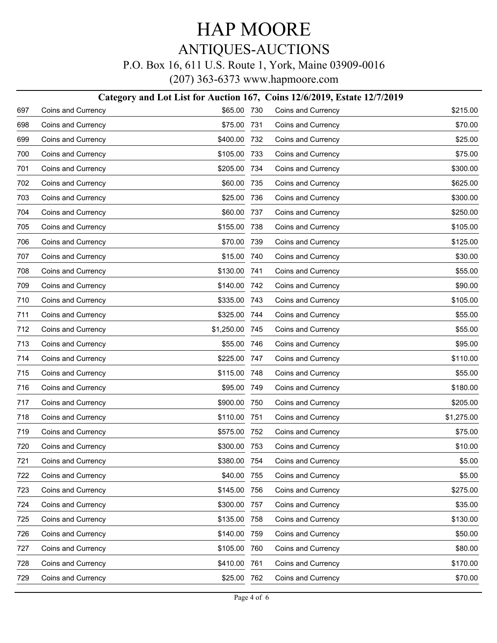### P.O. Box 16, 611 U.S. Route 1, York, Maine 03909-0016

|     | Category and Lot List for Auction 167, Coins 12/6/2019, Estate 12/7/2019 |              |       |                    |            |  |  |
|-----|--------------------------------------------------------------------------|--------------|-------|--------------------|------------|--|--|
| 697 | Coins and Currency                                                       | \$65.00 730  |       | Coins and Currency | \$215.00   |  |  |
| 698 | Coins and Currency                                                       | \$75.00      | 731   | Coins and Currency | \$70.00    |  |  |
| 699 | Coins and Currency                                                       | \$400.00     | 732   | Coins and Currency | \$25.00    |  |  |
| 700 | Coins and Currency                                                       | \$105.00     | 733   | Coins and Currency | \$75.00    |  |  |
| 701 | Coins and Currency                                                       | \$205.00     | 734   | Coins and Currency | \$300.00   |  |  |
| 702 | Coins and Currency                                                       | \$60.00      | 735   | Coins and Currency | \$625.00   |  |  |
| 703 | Coins and Currency                                                       | \$25.00      | 736   | Coins and Currency | \$300.00   |  |  |
| 704 | Coins and Currency                                                       | \$60.00      | 737   | Coins and Currency | \$250.00   |  |  |
| 705 | Coins and Currency                                                       | \$155.00     | 738   | Coins and Currency | \$105.00   |  |  |
| 706 | Coins and Currency                                                       | \$70.00      | 739   | Coins and Currency | \$125.00   |  |  |
| 707 | Coins and Currency                                                       | \$15.00      | 740   | Coins and Currency | \$30.00    |  |  |
| 708 | Coins and Currency                                                       | \$130.00     | 741   | Coins and Currency | \$55.00    |  |  |
| 709 | Coins and Currency                                                       | \$140.00     | -742  | Coins and Currency | \$90.00    |  |  |
| 710 | Coins and Currency                                                       | \$335.00     | -743  | Coins and Currency | \$105.00   |  |  |
| 711 | Coins and Currency                                                       | \$325.00 744 |       | Coins and Currency | \$55.00    |  |  |
| 712 | Coins and Currency                                                       | \$1,250.00   | - 745 | Coins and Currency | \$55.00    |  |  |
| 713 | Coins and Currency                                                       | \$55.00      | 746   | Coins and Currency | \$95.00    |  |  |
| 714 | Coins and Currency                                                       | \$225.00     | 747   | Coins and Currency | \$110.00   |  |  |
| 715 | Coins and Currency                                                       | \$115.00     | 748   | Coins and Currency | \$55.00    |  |  |
| 716 | Coins and Currency                                                       | \$95.00      | 749   | Coins and Currency | \$180.00   |  |  |
| 717 | Coins and Currency                                                       | \$900.00     | 750   | Coins and Currency | \$205.00   |  |  |
| 718 | Coins and Currency                                                       | \$110.00     | 751   | Coins and Currency | \$1,275.00 |  |  |
| 719 | Coins and Currency                                                       | \$575.00     | 752   | Coins and Currency | \$75.00    |  |  |
| 720 | Coins and Currency                                                       | \$300.00     | 753   | Coins and Currency | \$10.00    |  |  |
| 721 | Coins and Currency                                                       | \$380.00 754 |       | Coins and Currency | \$5.00     |  |  |
| 722 | Coins and Currency                                                       | \$40.00      | 755   | Coins and Currency | \$5.00     |  |  |
| 723 | Coins and Currency                                                       | \$145.00     | 756   | Coins and Currency | \$275.00   |  |  |
| 724 | Coins and Currency                                                       | \$300.00     | 757   | Coins and Currency | \$35.00    |  |  |
| 725 | Coins and Currency                                                       | \$135.00     | 758   | Coins and Currency | \$130.00   |  |  |
| 726 | Coins and Currency                                                       | \$140.00     | 759   | Coins and Currency | \$50.00    |  |  |
| 727 | Coins and Currency                                                       | \$105.00     | 760   | Coins and Currency | \$80.00    |  |  |
| 728 | Coins and Currency                                                       | \$410.00     | 761   | Coins and Currency | \$170.00   |  |  |
| 729 | Coins and Currency                                                       | \$25.00      | 762   | Coins and Currency | \$70.00    |  |  |
|     |                                                                          |              |       |                    |            |  |  |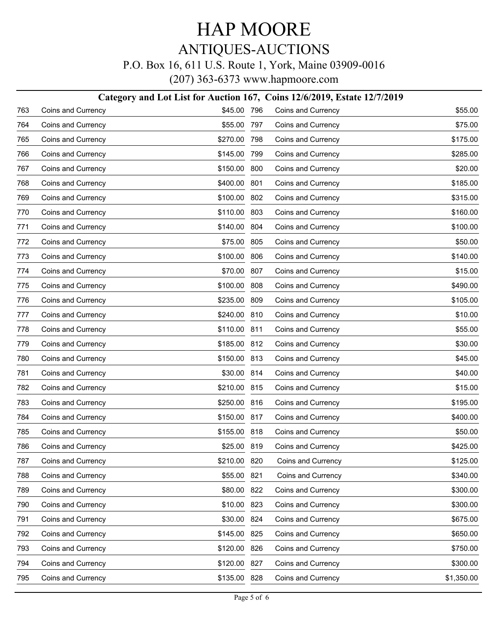### P.O. Box 16, 611 U.S. Route 1, York, Maine 03909-0016

|     | Category and Lot List for Auction 167, Coins 12/6/2019, Estate 12/7/2019 |              |     |                    |            |  |  |
|-----|--------------------------------------------------------------------------|--------------|-----|--------------------|------------|--|--|
| 763 | Coins and Currency                                                       | \$45.00 796  |     | Coins and Currency | \$55.00    |  |  |
| 764 | Coins and Currency                                                       | \$55.00      | 797 | Coins and Currency | \$75.00    |  |  |
| 765 | Coins and Currency                                                       | \$270.00     | 798 | Coins and Currency | \$175.00   |  |  |
| 766 | Coins and Currency                                                       | \$145.00     | 799 | Coins and Currency | \$285.00   |  |  |
| 767 | Coins and Currency                                                       | \$150.00     | 800 | Coins and Currency | \$20.00    |  |  |
| 768 | Coins and Currency                                                       | \$400.00     | 801 | Coins and Currency | \$185.00   |  |  |
| 769 | Coins and Currency                                                       | \$100.00     | 802 | Coins and Currency | \$315.00   |  |  |
| 770 | Coins and Currency                                                       | \$110.00     | 803 | Coins and Currency | \$160.00   |  |  |
| 771 | Coins and Currency                                                       | \$140.00     | 804 | Coins and Currency | \$100.00   |  |  |
| 772 | Coins and Currency                                                       | \$75.00      | 805 | Coins and Currency | \$50.00    |  |  |
| 773 | Coins and Currency                                                       | \$100.00     | 806 | Coins and Currency | \$140.00   |  |  |
| 774 | Coins and Currency                                                       | \$70.00      | 807 | Coins and Currency | \$15.00    |  |  |
| 775 | Coins and Currency                                                       | \$100.00     | 808 | Coins and Currency | \$490.00   |  |  |
| 776 | Coins and Currency                                                       | \$235.00     | 809 | Coins and Currency | \$105.00   |  |  |
| 777 | Coins and Currency                                                       | \$240.00     | 810 | Coins and Currency | \$10.00    |  |  |
| 778 | Coins and Currency                                                       | \$110.00     | 811 | Coins and Currency | \$55.00    |  |  |
| 779 | Coins and Currency                                                       | \$185.00     | 812 | Coins and Currency | \$30.00    |  |  |
| 780 | Coins and Currency                                                       | \$150.00     | 813 | Coins and Currency | \$45.00    |  |  |
| 781 | Coins and Currency                                                       | \$30.00      | 814 | Coins and Currency | \$40.00    |  |  |
| 782 | Coins and Currency                                                       | \$210.00     | 815 | Coins and Currency | \$15.00    |  |  |
| 783 | Coins and Currency                                                       | \$250.00     | 816 | Coins and Currency | \$195.00   |  |  |
| 784 | Coins and Currency                                                       | \$150.00     | 817 | Coins and Currency | \$400.00   |  |  |
| 785 | Coins and Currency                                                       | \$155.00     | 818 | Coins and Currency | \$50.00    |  |  |
| 786 | Coins and Currency                                                       | \$25.00 819  |     | Coins and Currency | \$425.00   |  |  |
| 787 | Coins and Currency                                                       | \$210.00 820 |     | Coins and Currency | \$125.00   |  |  |
| 788 | Coins and Currency                                                       | \$55.00      | 821 | Coins and Currency | \$340.00   |  |  |
| 789 | Coins and Currency                                                       | \$80.00      | 822 | Coins and Currency | \$300.00   |  |  |
| 790 | Coins and Currency                                                       | \$10.00      | 823 | Coins and Currency | \$300.00   |  |  |
| 791 | Coins and Currency                                                       | \$30.00      | 824 | Coins and Currency | \$675.00   |  |  |
| 792 | Coins and Currency                                                       | \$145.00     | 825 | Coins and Currency | \$650.00   |  |  |
| 793 | Coins and Currency                                                       | \$120.00     | 826 | Coins and Currency | \$750.00   |  |  |
| 794 | Coins and Currency                                                       | \$120.00     | 827 | Coins and Currency | \$300.00   |  |  |
| 795 | Coins and Currency                                                       | \$135.00 828 |     | Coins and Currency | \$1,350.00 |  |  |
|     |                                                                          |              |     |                    |            |  |  |